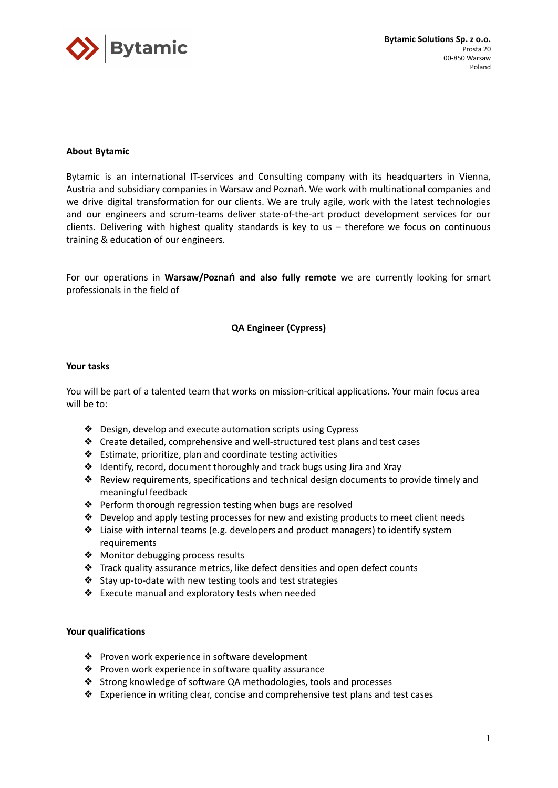

# **About Bytamic**

Bytamic is an international IT-services and Consulting company with its headquarters in Vienna, Austria and subsidiary companies in Warsaw and Poznań. We work with multinational companies and we drive digital transformation for our clients. We are truly agile, work with the latest technologies and our engineers and scrum-teams deliver state-of-the-art product development services for our clients. Delivering with highest quality standards is key to us – therefore we focus on continuous training & education of our engineers.

For our operations in **Warsaw/Poznań and also fully remote** we are currently looking for smart professionals in the field of

# **QA Engineer (Cypress)**

## **Your tasks**

You will be part of a talented team that works on mission-critical applications. Your main focus area will be to:

- ❖ Design, develop and execute automation scripts using Cypress
- ❖ Create detailed, comprehensive and well-structured test plans and test cases
- ❖ Estimate, prioritize, plan and coordinate testing activities
- ❖ Identify, record, document thoroughly and track bugs using Jira and Xray
- ❖ Review requirements, specifications and technical design documents to provide timely and meaningful feedback
- ❖ Perform thorough regression testing when bugs are resolved
- ❖ Develop and apply testing processes for new and existing products to meet client needs
- ❖ Liaise with internal teams (e.g. developers and product managers) to identify system requirements
- ❖ Monitor debugging process results
- ❖ Track quality assurance metrics, like defect densities and open defect counts
- ❖ Stay up-to-date with new testing tools and test strategies
- ❖ Execute manual and exploratory tests when needed

## **Your qualifications**

- ❖ Proven work experience in software development
- ❖ Proven work experience in software quality assurance
- ❖ Strong knowledge of software QA methodologies, tools and processes
- ❖ Experience in writing clear, concise and comprehensive test plans and test cases